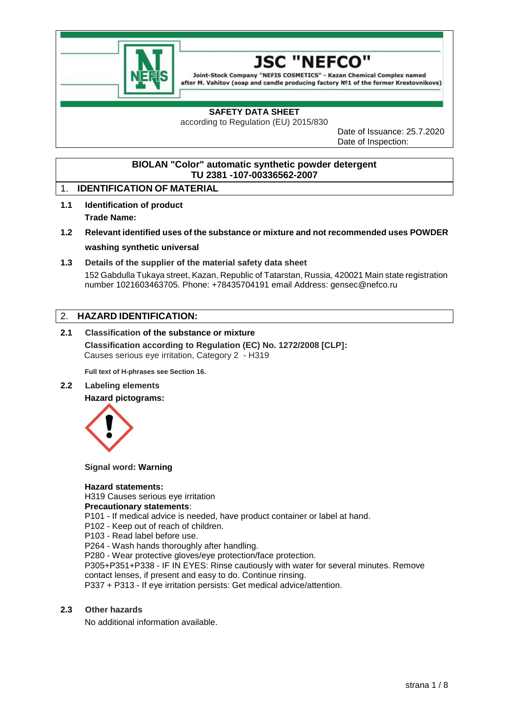



Joint-Stock Company "NEFIS COSMETICS" - Kazan Chemical Complex named after M. Vahitov (soap and candle producing factory Nº1 of the former Krestovnikovs)

# **SAFETY DATA SHEET**

according to Regulation (EU) 2015/830

Date of Issuance: 25.7.2020 Date of Inspection:

# **BIOLAN "Color" automatic synthetic powder detergent TU 2381 -107-00336562-2007**

# 1. **IDENTIFICATION OF MATERIAL**

- **1.1 Identification of product Trade Name:**
- **1.2 Relevant identified uses of the substance or mixture and not recommended uses POWDER washing synthetic universal**
- **1.3 Details of the supplier of the material safety data sheet**

152 Gabdulla Tukaya street, Kazan, Republic of Tatarstan, Russia, 420021 Main state registration number 1021603463705. Phone: +78435704191 email Address: gensec@nefco.ru

# 2. **HAZARD IDENTIFICATION:**

**2.1 Classification of the substance or mixture Classification according to Regulation (EC) No. 1272/2008 [CLP]:** Causes serious eye irritation, Category 2 - H319

**Full text of H-phrases see Section 16.**

**2.2 Labeling elements Hazard pictograms:**



**Signal word: Warning**

#### **Hazard statements:**

H319 Causes serious eye irritation

**Precautionary statements**:

P101 - If medical advice is needed, have product container or label at hand.

P102 - Keep out of reach of children.

P103 - Read label before use.

P264 - Wash hands thoroughly after handling.

P280 - Wear protective gloves/eye protection/face protection.

P305+P351+P338 - IF IN EYES: Rinse cautiously with water for several minutes. Remove contact lenses, if present and easy to do. Continue rinsing.

P337 + P313 - If eye irritation persists: Get medical advice/attention.

#### **2.3 Other hazards**

No additional information available.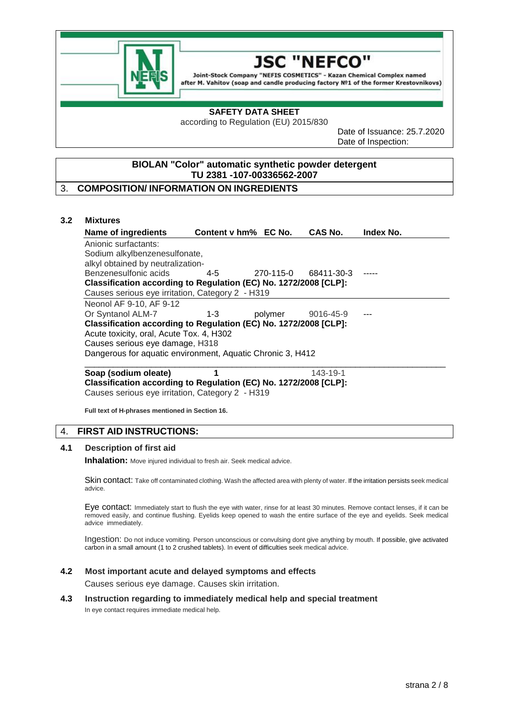

#### JSC "NEFCO

Joint-Stock Company "NEFIS COSMETICS" - Kazan Chemical Complex named after M. Vahitov (soap and candle producing factory Nº1 of the former Krestovnikovs)

## **SAFETY DATA SHEET**

according to Regulation (EU) 2015/830

Date of Issuance: 25.7.2020 Date of Inspection:

# **BIOLAN "Color" automatic synthetic powder detergent TU 2381 -107-00336562-2007**

# 3. **COMPOSITION/ INFORMATION ON INGREDIENTS**

#### **3.2 Mixtures**

| Name of ingredients                                              | Content v hm% EC No. |           | CAS No.    | <b>Index No.</b> |  |
|------------------------------------------------------------------|----------------------|-----------|------------|------------------|--|
| Anionic surfactants:                                             |                      |           |            |                  |  |
| Sodium alkylbenzenesulfonate,                                    |                      |           |            |                  |  |
| alkyl obtained by neutralization-                                |                      |           |            |                  |  |
| Benzenesulfonic acids                                            | $4-5$                | 270-115-0 | 68411-30-3 |                  |  |
| Classification according to Regulation (EC) No. 1272/2008 [CLP]: |                      |           |            |                  |  |
| Causes serious eye irritation, Category 2 - H319                 |                      |           |            |                  |  |
| Neonol AF 9-10, AF 9-12                                          |                      |           |            |                  |  |
| Or Syntanol ALM-7                                                | $1 - 3$              | polymer   | 9016-45-9  |                  |  |
| Classification according to Regulation (EC) No. 1272/2008 [CLP]: |                      |           |            |                  |  |
| Acute toxicity, oral, Acute Tox. 4, H302                         |                      |           |            |                  |  |
| Causes serious eye damage, H318                                  |                      |           |            |                  |  |
| Dangerous for aquatic environment, Aquatic Chronic 3, H412       |                      |           |            |                  |  |
|                                                                  |                      |           |            |                  |  |

#### **Soap (sodium oleate) 1143-19-1 Classification according to Regulation (EC) No. 1272/2008 [CLP]:** Causes serious eye irritation, Category 2 - H319

**Full text of H-phrases mentioned in Section 16.**

# 4. **FIRST AID INSTRUCTIONS:**

# **4.1 Description of first aid**

**Inhalation:** Move injured individual to fresh air. Seek medical advice.

Skin contact: Take off contaminated clothing. Wash the affected area with plenty of water. If the irritation persists seek medical advice.

Eye contact: Immediately start to flush the eye with water, rinse for at least 30 minutes. Remove contact lenses, if it can be removed easily, and continue flushing. Eyelids keep opened to wash the entire surface of the eye and eyelids. Seek medical advice immediately.

Ingestion: Do not induce vomiting. Person unconscious or convulsing dont give anything by mouth. If possible, give activated carbon in a small amount (1 to 2 crushed tablets). In event of difficulties seek medical advice.

## **4.2 Most important acute and delayed symptoms and effects**

Causes serious eye damage. Causes skin irritation.

#### **4.3 Instruction regarding to immediately medical help and special treatment**

In eye contact requires immediate medical help.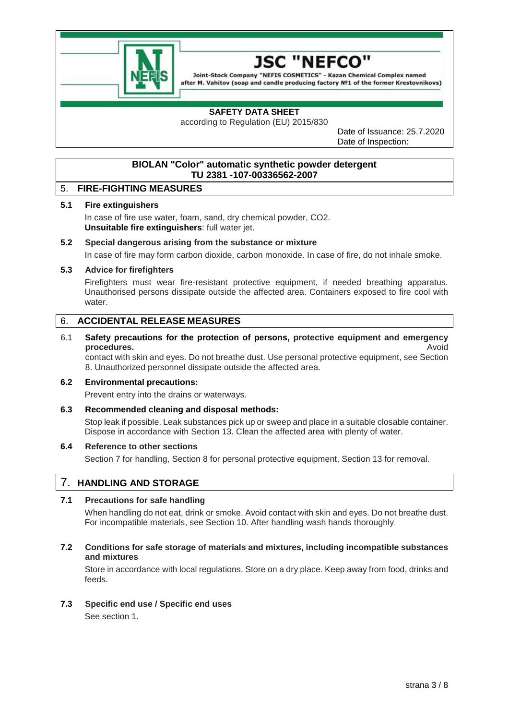

#### 1SC NFFCC

Joint-Stock Company "NEFIS COSMETICS" - Kazan Chemical Complex named after M. Vahitov (soap and candle producing factory Nº1 of the former Krestovnikovs)

# **SAFETY DATA SHEET**

according to Regulation (EU) 2015/830

Date of Issuance: 25.7.2020 Date of Inspection:

# **BIOLAN "Color" automatic synthetic powder detergent TU 2381 -107-00336562-2007**

# 5. **FIRE-FIGHTING MEASURES**

#### **5.1 Fire extinguishers**

In case of fire use water, foam, sand, dry chemical powder, CO2. **Unsuitable fire extinguishers**: full water jet.

## **5.2 Special dangerous arising from the substance or mixture**

In case of fire may form carbon dioxide, carbon monoxide. In case of fire, do not inhale smoke.

#### **5.3 Advice for firefighters**

Firefighters must wear fire-resistant protective equipment, if needed breathing apparatus. Unauthorised persons dissipate outside the affected area. Containers exposed to fire cool with water.

# 6. **ACCIDENTAL RELEASE MEASURES**

## 6.1 **Safety precautions for the protection of persons, protective equipment and emergency procedures.** Avoid

contact with skin and eyes. Do not breathe dust. Use personal protective equipment, see Section 8. Unauthorized personnel dissipate outside the affected area.

#### **6.2 Environmental precautions:**

Prevent entry into the drains or waterways.

#### **6.3 Recommended cleaning and disposal methods:**

Stop leak if possible. Leak substances pick up or sweep and place in a suitable closable container. Dispose in accordance with Section 13. Clean the affected area with plenty of water.

#### **6.4 Reference to other sections**

Section 7 for handling, Section 8 for personal protective equipment, Section 13 for removal.

# 7. **HANDLING AND STORAGE**

# **7.1 Precautions for safe handling**

When handling do not eat, drink or smoke. Avoid contact with skin and eyes. Do not breathe dust. For incompatible materials, see Section 10. After handling wash hands thoroughly.

## **7.2 Conditions for safe storage of materials and mixtures, including incompatible substances and mixtures**

Store in accordance with local regulations. Store on a dry place. Keep away from food, drinks and feeds.

## **7.3 Specific end use / Specific end uses**

See section 1.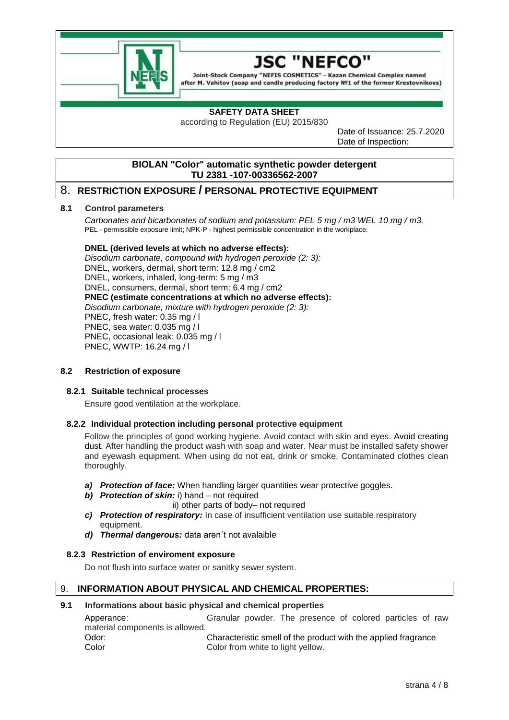

# JSC "NEFCC

Joint-Stock Company "NEFIS COSMETICS" - Kazan Chemical Complex named after M. Vahitov (soap and candle producing factory Nº1 of the former Krestovnikovs)

# **SAFETY DATA SHEET**

according to Regulation (EU) 2015/830

Date of Issuance: 25.7.2020 Date of Inspection:

# **BIOLAN "Color" automatic synthetic powder detergent TU 2381 -107-00336562-2007**

# 8. **RESTRICTION EXPOSURE / PERSONAL PROTECTIVE EQUIPMENT**

#### **8.1 Control parameters**

*Carbonates and bicarbonates of sodium and potassium: PEL 5 mg / m3 WEL 10 mg / m3.* PEL - permissible exposure limit; NPK-P - highest permissible concentration in the workplace.

## **DNEL (derived levels at which no adverse effects):**

*Disodium carbonate, compound with hydrogen peroxide (2: 3):* DNEL, workers, dermal, short term: 12.8 mg / cm2 DNEL, workers, inhaled, long-term: 5 mg / m3 DNEL, consumers, dermal, short term: 6.4 mg / cm2 **PNEC (estimate concentrations at which no adverse effects):** *Disodium carbonate, mixture with hydrogen peroxide (2: 3):* PNEC, fresh water: 0.35 mg / l PNEC, sea water: 0.035 mg / l PNEC, occasional leak: 0.035 mg / l PNEC, WWTP: 16.24 mg / l

# **8.2 Restriction of exposure**

#### **8.2.1 Suitable technical processes**

Ensure good ventilation at the workplace.

#### **8.2.2 Individual protection including personal protective equipment**

Follow the principles of good working hygiene. Avoid contact with skin and eyes. Avoid creating dust. After handling the product wash with soap and water. Near must be installed safety shower and eyewash equipment. When using do not eat, drink or smoke. Contaminated clothes clean thoroughly.

- *a) Protection of face:* When handling larger quantities wear protective goggles.
- *b) Protection of skin:* i) hand not required
	- ii) other parts of body– not required
- *c) Protection of respiratory:* In case of insufficient ventilation use suitable respiratory equipment.
- *d) Thermal dangerous:* data aren´t not avalaible

#### **8.2.3 Restriction of enviroment exposure**

Do not flush into surface water or sanitky sewer system.

# 9. **INFORMATION ABOUT PHYSICAL AND CHEMICAL PROPERTIES:**

#### **9.1 Informations about basic physical and chemical properties**

Apperance: Granular powder. The presence of colored particles of raw material components is allowed. Odor: Characteristic smell of the product with the applied fragrance Color Color from white to light yellow.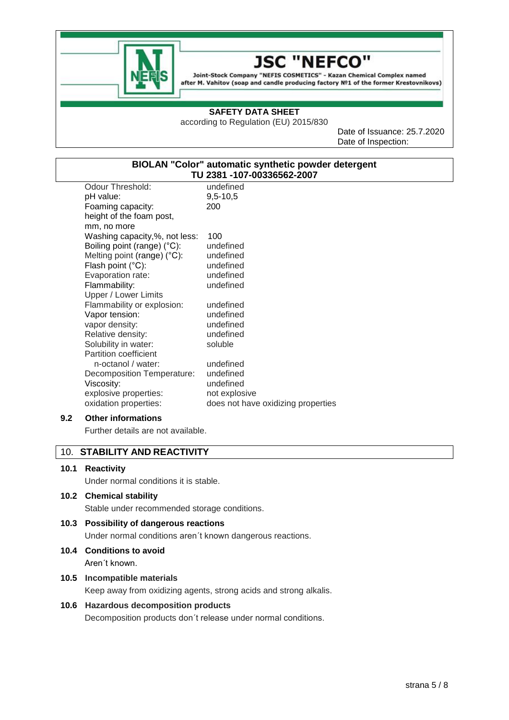

#### 1SC **NEFCO**

Joint-Stock Company "NEFIS COSMETICS" - Kazan Chemical Complex named after M. Vahitov (soap and candle producing factory Nº1 of the former Krestovnikovs)

## **SAFETY DATA SHEET**

according to Regulation (EU) 2015/830

Date of Issuance: 25.7.2020 Date of Inspection:

# **BIOLAN "Color" automatic synthetic powder detergent TU 2381 -107-00336562-2007**

| Odour Threshold:                      | undefined                          |
|---------------------------------------|------------------------------------|
| pH value:                             | $9,5 - 10,5$                       |
| Foaming capacity:                     | 200                                |
| height of the foam post,              |                                    |
| mm, no more                           |                                    |
| Washing capacity,%, not less:         | 100                                |
| Boiling point (range) (°C):           | undefined                          |
| Melting point (range) $(^{\circ}C)$ : | undefined                          |
| Flash point (°C):                     | undefined                          |
| Evaporation rate:                     | undefined                          |
| Flammability:                         | undefined                          |
| Upper / Lower Limits                  |                                    |
| Flammability or explosion:            | undefined                          |
| Vapor tension:                        | undefined                          |
| vapor density:                        | undefined                          |
| Relative density:                     | undefined                          |
| Solubility in water:                  | soluble                            |
| <b>Partition coefficient</b>          |                                    |
| n-octanol / water:                    | undefined                          |
| Decomposition Temperature:            | undefined                          |
| Viscosity:                            | undefined                          |
| explosive properties:                 | not explosive                      |
| oxidation properties:                 | does not have oxidizing properties |

# **9.2 Other informations**

Further details are not available.

# 10. **STABILITY AND REACTIVITY**

#### **10.1 Reactivity**

Under normal conditions it is stable.

#### **10.2 Chemical stability**

Stable under recommended storage conditions.

# **10.3 Possibility of dangerous reactions**

Under normal conditions aren´t known dangerous reactions.

**10.4 Conditions to avoid**  Aren´t known.

## **10.5 Incompatible materials**

Keep away from oxidizing agents, strong acids and strong alkalis.

# **10.6 Hazardous decomposition products**

Decomposition products don´t release under normal conditions.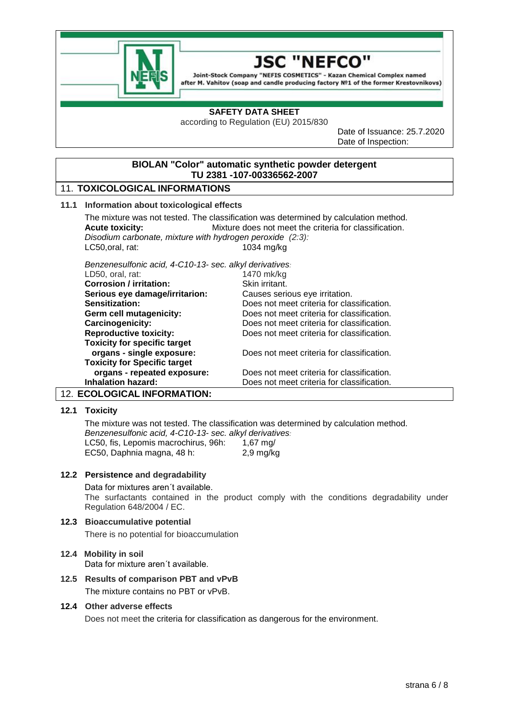

#### JSC **NEFCO**

Joint-Stock Company "NEFIS COSMETICS" - Kazan Chemical Complex named after M. Vahitov (soap and candle producing factory Nº1 of the former Krestovnikovs)

## **SAFETY DATA SHEET**

according to Regulation (EU) 2015/830

Date of Issuance: 25.7.2020 Date of Inspection:

# **BIOLAN "Color" automatic synthetic powder detergent TU 2381 -107-00336562-2007**

# 11. **TOXICOLOGICAL INFORMATIONS**

## **11.1 Information about toxicological effects**

The mixture was not tested. The classification was determined by calculation method. **Acute toxicity:** Mixture does not meet the criteria for classification. *Disodium carbonate, mixture with hydrogen peroxide (2:3):* LC50,oral, rat: 1034 mg/kg

*Benzenesulfonic acid, 4-C10-13- sec. alkyl derivatives:*

| LD50, oral, rat:                    | 1470 mk/kg                                 |
|-------------------------------------|--------------------------------------------|
| <b>Corrosion / irritation:</b>      | Skin irritant.                             |
| Serious eye damage/irritarion:      | Causes serious eye irritation.             |
| Sensitization:                      | Does not meet criteria for classification. |
| Germ cell mutagenicity:             | Does not meet criteria for classification. |
| <b>Carcinogenicity:</b>             | Does not meet criteria for classification. |
| <b>Reproductive toxicity:</b>       | Does not meet criteria for classification. |
| <b>Toxicity for specific target</b> |                                            |
| organs - single exposure:           | Does not meet criteria for classification. |
| <b>Toxicity for Specific target</b> |                                            |
| organs - repeated exposure:         | Does not meet criteria for classification. |
| <b>Inhalation hazard:</b>           | Does not meet criteria for classification. |
|                                     |                                            |

# 12. **ECOLOGICAL INFORMATION:**

# **12.1 Toxicity**

The mixture was not tested. The classification was determined by calculation method. *Benzenesulfonic acid, 4-C10-13- sec. alkyl derivatives:* LC50, fis, Lepomis macrochirus, 96h: 1,67 mg/ EC50, Daphnia magna, 48 h: 2,9 mg/kg

#### **12.2 Persistence and degradability**

Data for mixtures aren´t available.

The surfactants contained in the product comply with the conditions degradability under Regulation 648/2004 / EC.

#### **12.3 Bioaccumulative potential**

There is no potential for bioaccumulation

# **12.4 Mobility in soil** Data for mixture aren´t available.

# **12.5 Results of comparison PBT and vPvB** The mixture contains no PBT or vPvB.

### **12.4 Other adverse effects**

Does not meet the criteria for classification as dangerous for the environment.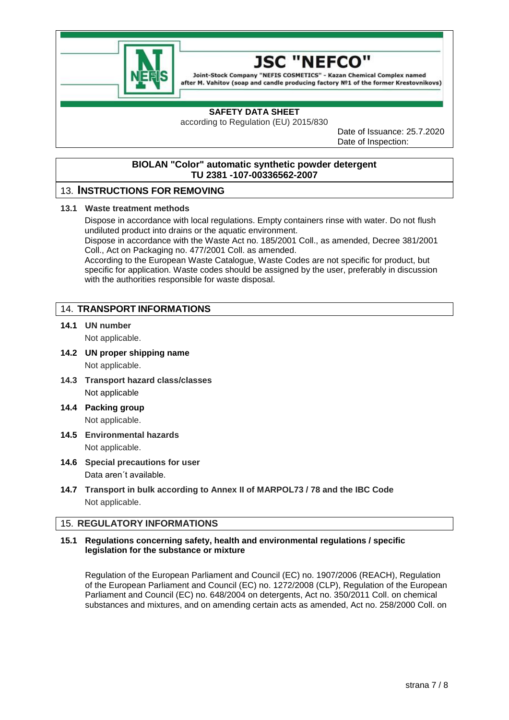

#### "NEFCO 1SC

Joint-Stock Company "NEFIS COSMETICS" - Kazan Chemical Complex named after M. Vahitov (soap and candle producing factory Nº1 of the former Krestovnikovs)

# **SAFETY DATA SHEET**

according to Regulation (EU) 2015/830

Date of Issuance: 25.7.2020 Date of Inspection:

# **BIOLAN "Color" automatic synthetic powder detergent TU 2381 -107-00336562-2007**

# 13. **INSTRUCTIONS FOR REMOVING**

## **13.1 Waste treatment methods**

Dispose in accordance with local regulations. Empty containers rinse with water. Do not flush undiluted product into drains or the aquatic environment.

Dispose in accordance with the Waste Act no. 185/2001 Coll., as amended, Decree 381/2001 Coll., Act on Packaging no. 477/2001 Coll. as amended.

According to the European Waste Catalogue, Waste Codes are not specific for product, but specific for application. Waste codes should be assigned by the user, preferably in discussion with the authorities responsible for waste disposal.

# 14. **TRANSPORT INFORMATIONS**

- **14.1 UN number** Not applicable.
- **14.2 UN proper shipping name** Not applicable.
- **14.3 Transport hazard class/classes** Not applicable
- **14.4 Packing group** Not applicable.
- **14.5 Environmental hazards** Not applicable.
- **14.6 Special precautions for user** Data aren´t available.
- **14.7 Transport in bulk according to Annex II of MARPOL73 / 78 and the IBC Code** Not applicable.

# 15. **REGULATORY INFORMATIONS**

## **15.1 Regulations concerning safety, health and environmental regulations / specific legislation for the substance or mixture**

Regulation of the European Parliament and Council (EC) no. 1907/2006 (REACH), Regulation of the European Parliament and Council (EC) no. 1272/2008 (CLP), Regulation of the European Parliament and Council (EC) no. 648/2004 on detergents, Act no. 350/2011 Coll. on chemical substances and mixtures, and on amending certain acts as amended, Act no. 258/2000 Coll. on